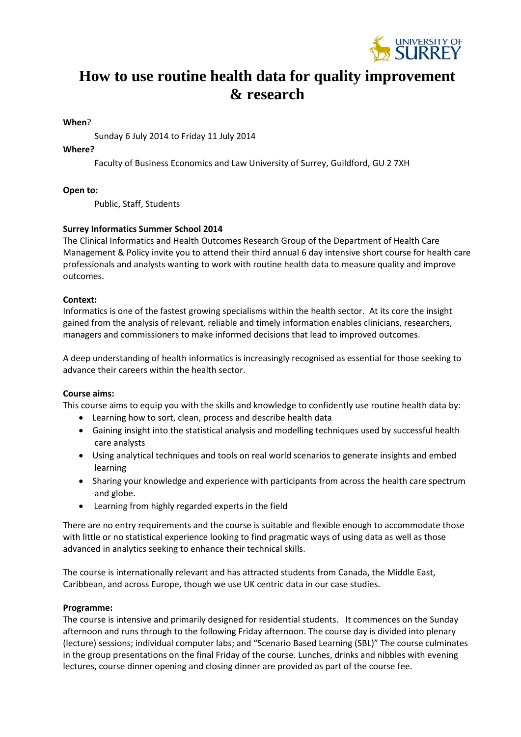

# **How to use routine health data for quality improvement & research**

# **When**?

Sunday 6 July 2014 to Friday 11 July 2014

# **Where?**

Faculty of Business Economics and Law University of Surrey, Guildford, GU 2 7XH

**Open to:**

Public, Staff, Students

# **Surrey Informatics Summer School 2014**

The [Clinical Informatics and Health Outcomes Research Group](http://www.clininf.eu/practicemanagement/siss/siss2014.html) of the Department of Health Care Management & Policy invite you to attend their third annual 6 day intensive short course for health care professionals and analysts wanting to work with routine health data to measure quality and improve outcomes.

# **Context:**

Informatics is one of the fastest growing specialisms within the health sector. At its core the insight gained from the analysis of relevant, reliable and timely information enables clinicians, researchers, managers and commissioners to make informed decisions that lead to improved outcomes.

A deep understanding of health informatics is increasingly recognised as essential for those seeking to advance their careers within the health sector.

## **Course aims:**

This course aims to equip you with the skills and knowledge to confidently use routine health data by:

- Learning how to sort, clean, process and describe health data
- Gaining insight into the statistical analysis and modelling techniques used by successful health care analysts
- Using analytical techniques and tools on real world scenarios to generate insights and embed learning
- Sharing your knowledge and experience with participants from across the health care spectrum and globe.
- Learning from highly regarded experts in the field

There are no entry requirements and the course is suitable and flexible enough to accommodate those with little or no statistical experience looking to find pragmatic ways of using data as well as those advanced in analytics seeking to enhance their technical skills.

The course is internationally relevant and has attracted students from Canada, the Middle East, Caribbean, and across Europe, though we use UK centric data in our case studies.

## **Programme:**

The course is intensive and primarily designed for residential students. It commences on the Sunday afternoon and runs through to the following Friday afternoon. The course day is divided into plenary (lecture) sessions; individual computer labs; and "Scenario Based Learning (SBL)" The course culminates in the group presentations on the final Friday of the course. Lunches, drinks and nibbles with evening lectures, course dinner opening and closing dinner are provided as part of the course fee.